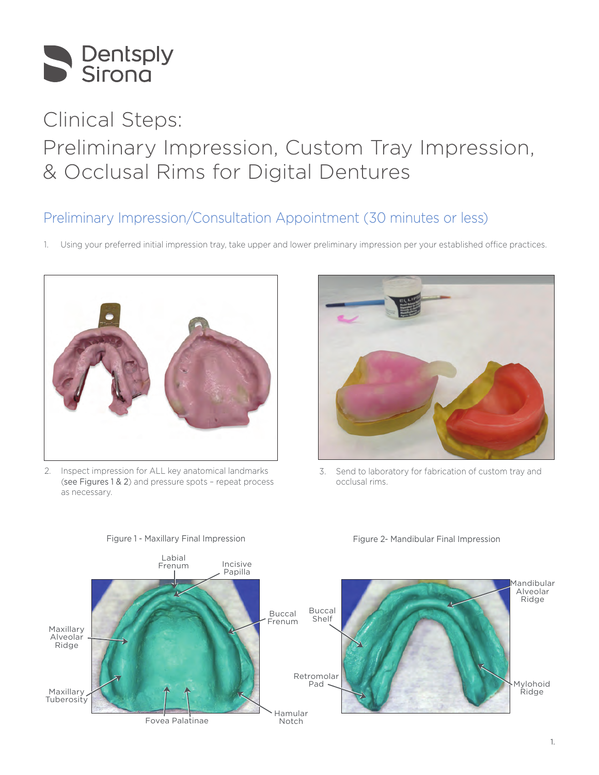

# Clinical Steps: Preliminary Impression, Custom Tray Impression, & Occlusal Rims for Digital Dentures

## Preliminary Impression/Consultation Appointment (30 minutes or less)

1. Using your preferred initial impression tray, take upper and lower preliminary impression per your established office practices.



2. Inspect impression for ALL key anatomical landmarks (see Figures 1 & 2) and pressure spots – repeat process as necessary.



3. Send to laboratory for fabrication of custom tray and occlusal rims.



Figure 1 - Maxillary Final Impression

### Figure 2- Mandibular Final Impression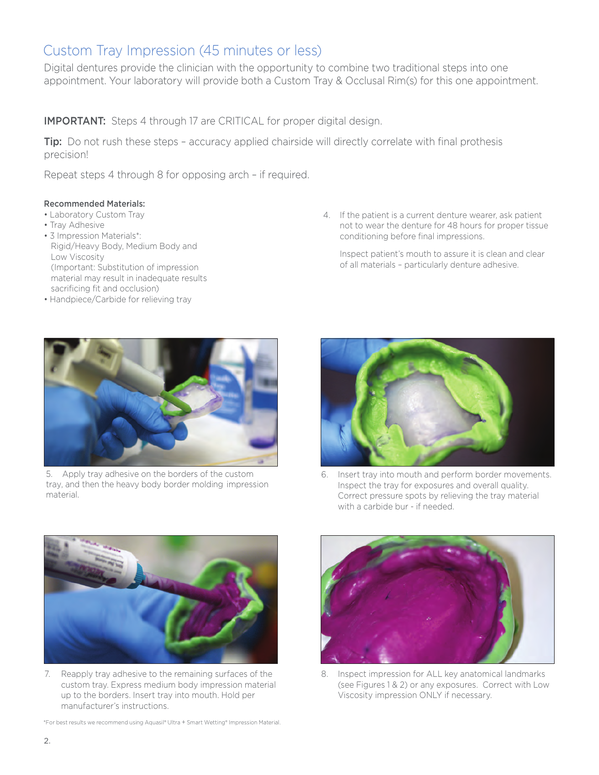### Custom Tray Impression (45 minutes or less)

Digital dentures provide the clinician with the opportunity to combine two traditional steps into one appointment. Your laboratory will provide both a Custom Tray & Occlusal Rim(s) for this one appointment.

**IMPORTANT:** Steps 4 through 17 are CRITICAL for proper digital design.

**Tip:** Do not rush these steps - accuracy applied chairside will directly correlate with final prothesis precision!

Repeat steps 4 through 8 for opposing arch – if required.

### Recommended Materials:

- Laboratory Custom Tray
- Tray Adhesive
- 3 Impression Materials\*: Rigid/Heavy Body, Medium Body and Low Viscosity (Important: Substitution of impression material may result in inadequate results sacrificing fit and occlusion)
- Handpiece/Carbide for relieving tray

4. If the patient is a current denture wearer, ask patient not to wear the denture for 48 hours for proper tissue conditioning before final impressions.

Inspect patient's mouth to assure it is clean and clear of all materials – particularly denture adhesive.



5. Apply tray adhesive on the borders of the custom tray, and then the heavy body border molding impression material.



6. Insert tray into mouth and perform border movements. Inspect the tray for exposures and overall quality. Correct pressure spots by relieving the tray material with a carbide bur - if needed.



7. Reapply tray adhesive to the remaining surfaces of the custom tray. Express medium body impression material up to the borders. Insert tray into mouth. Hold per manufacturer's instructions.

\*For best results we recommend using Aquasil® Ultra + Smart Wetting® Impression Material.



Inspect impression for ALL key anatomical landmarks (see Figures 1 & 2) or any exposures. Correct with Low Viscosity impression ONLY if necessary.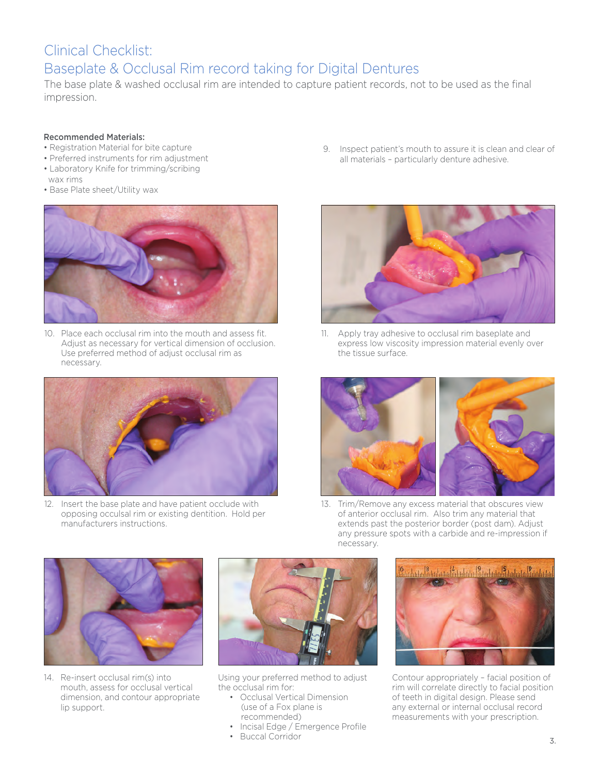# Clinical Checklist: Baseplate & Occlusal Rim record taking for Digital Dentures

The base plate & washed occlusal rim are intended to capture patient records, not to be used as the final impression.

#### Recommended Materials:

- Registration Material for bite capture
- Preferred instruments for rim adjustment
- Laboratory Knife for trimming/scribing wax rims
- Base Plate sheet/Utility wax



10. Place each occlusal rim into the mouth and assess fit. Adjust as necessary for vertical dimension of occlusion. Use preferred method of adjust occlusal rim as necessary.



12. Insert the base plate and have patient occlude with opposing occulsal rim or existing dentition. Hold per manufacturers instructions.

9. Inspect patient's mouth to assure it is clean and clear of all materials – particularly denture adhesive.



11. Apply tray adhesive to occlusal rim baseplate and express low viscosity impression material evenly over the tissue surface.



13. Trim/Remove any excess material that obscures view of anterior occlusal rim. Also trim any material that extends past the posterior border (post dam). Adjust any pressure spots with a carbide and re-impression if necessary.



14. Re-insert occlusal rim(s) into mouth, assess for occlusal vertical dimension, and contour appropriate lip support.



Using your preferred method to adjust the occlusal rim for:

- Occlusal Vertical Dimension (use of a Fox plane is recommended)
- Incisal Edge / Emergence Profile
- Buccal Corridor



Contour appropriately – facial position of rim will correlate directly to facial position of teeth in digital design. Please send any external or internal occlusal record measurements with your prescription.